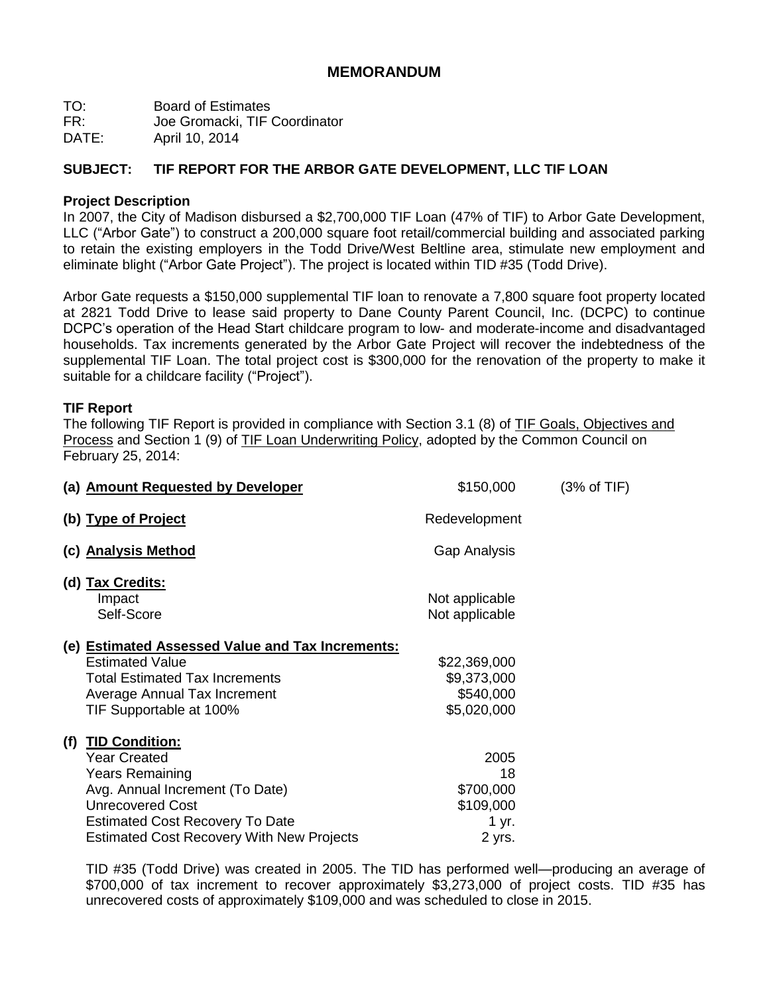# **MEMORANDUM**

TO: Board of Estimates

FR: Joe Gromacki, TIF Coordinator

DATE: April 10, 2014

# **SUBJECT: TIF REPORT FOR THE ARBOR GATE DEVELOPMENT, LLC TIF LOAN**

## **Project Description**

In 2007, the City of Madison disbursed a \$2,700,000 TIF Loan (47% of TIF) to Arbor Gate Development, LLC ("Arbor Gate") to construct a 200,000 square foot retail/commercial building and associated parking to retain the existing employers in the Todd Drive/West Beltline area, stimulate new employment and eliminate blight ("Arbor Gate Project"). The project is located within TID #35 (Todd Drive).

Arbor Gate requests a \$150,000 supplemental TIF loan to renovate a 7,800 square foot property located at 2821 Todd Drive to lease said property to Dane County Parent Council, Inc. (DCPC) to continue DCPC's operation of the Head Start childcare program to low- and moderate-income and disadvantaged households. Tax increments generated by the Arbor Gate Project will recover the indebtedness of the supplemental TIF Loan. The total project cost is \$300,000 for the renovation of the property to make it suitable for a childcare facility ("Project").

# **TIF Report**

The following TIF Report is provided in compliance with Section 3.1 (8) of TIF Goals, Objectives and Process and Section 1 (9) of TIF Loan Underwriting Policy, adopted by the Common Council on February 25, 2014:

|     | (a) Amount Requested by Developer                                                                                                                                                                                                  | \$150,000                                               | $(3% \text{ of TIF})$ |
|-----|------------------------------------------------------------------------------------------------------------------------------------------------------------------------------------------------------------------------------------|---------------------------------------------------------|-----------------------|
|     | (b) Type of Project                                                                                                                                                                                                                | Redevelopment                                           |                       |
|     | (c) Analysis Method                                                                                                                                                                                                                | Gap Analysis                                            |                       |
|     | (d) Tax Credits:<br>Impact<br>Self-Score                                                                                                                                                                                           | Not applicable<br>Not applicable                        |                       |
|     | (e) <b>Estimated Assessed Value and Tax Increments:</b><br><b>Estimated Value</b><br>Total Estimated Tax Increments<br>Average Annual Tax Increment<br>TIF Supportable at 100%                                                     | \$22,369,000<br>\$9,373,000<br>\$540,000<br>\$5,020,000 |                       |
| (f) | <b>TID Condition:</b><br><b>Year Created</b><br><b>Years Remaining</b><br>Avg. Annual Increment (To Date)<br><b>Unrecovered Cost</b><br><b>Estimated Cost Recovery To Date</b><br><b>Estimated Cost Recovery With New Projects</b> | 2005<br>18<br>\$700,000<br>\$109,000<br>1 yr.<br>2 yrs. |                       |

TID #35 (Todd Drive) was created in 2005. The TID has performed well—producing an average of \$700,000 of tax increment to recover approximately \$3,273,000 of project costs. TID #35 has unrecovered costs of approximately \$109,000 and was scheduled to close in 2015.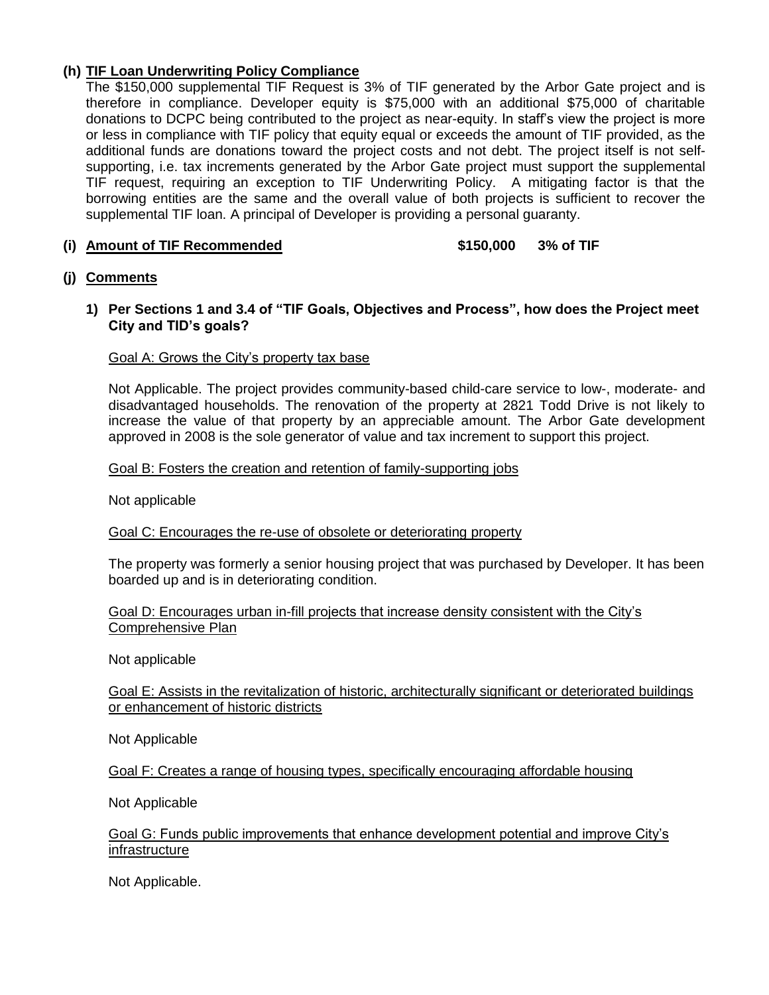# **(h) TIF Loan Underwriting Policy Compliance**

The \$150,000 supplemental TIF Request is 3% of TIF generated by the Arbor Gate project and is therefore in compliance. Developer equity is \$75,000 with an additional \$75,000 of charitable donations to DCPC being contributed to the project as near-equity. In staff's view the project is more or less in compliance with TIF policy that equity equal or exceeds the amount of TIF provided, as the additional funds are donations toward the project costs and not debt. The project itself is not selfsupporting, i.e. tax increments generated by the Arbor Gate project must support the supplemental TIF request, requiring an exception to TIF Underwriting Policy. A mitigating factor is that the borrowing entities are the same and the overall value of both projects is sufficient to recover the supplemental TIF loan. A principal of Developer is providing a personal guaranty.

## **(i) Amount of TIF Recommended \$150,000 3% of TIF**

### **(j) Comments**

### **1) Per Sections 1 and 3.4 of "TIF Goals, Objectives and Process", how does the Project meet City and TID's goals?**

### Goal A: Grows the City's property tax base

Not Applicable. The project provides community-based child-care service to low-, moderate- and disadvantaged households. The renovation of the property at 2821 Todd Drive is not likely to increase the value of that property by an appreciable amount. The Arbor Gate development approved in 2008 is the sole generator of value and tax increment to support this project.

### Goal B: Fosters the creation and retention of family-supporting jobs

Not applicable

# Goal C: Encourages the re-use of obsolete or deteriorating property

The property was formerly a senior housing project that was purchased by Developer. It has been boarded up and is in deteriorating condition.

#### Goal D: Encourages urban in-fill projects that increase density consistent with the City's Comprehensive Plan

Not applicable

Goal E: Assists in the revitalization of historic, architecturally significant or deteriorated buildings or enhancement of historic districts

Not Applicable

Goal F: Creates a range of housing types, specifically encouraging affordable housing

Not Applicable

#### Goal G: Funds public improvements that enhance development potential and improve City's **infrastructure**

Not Applicable.